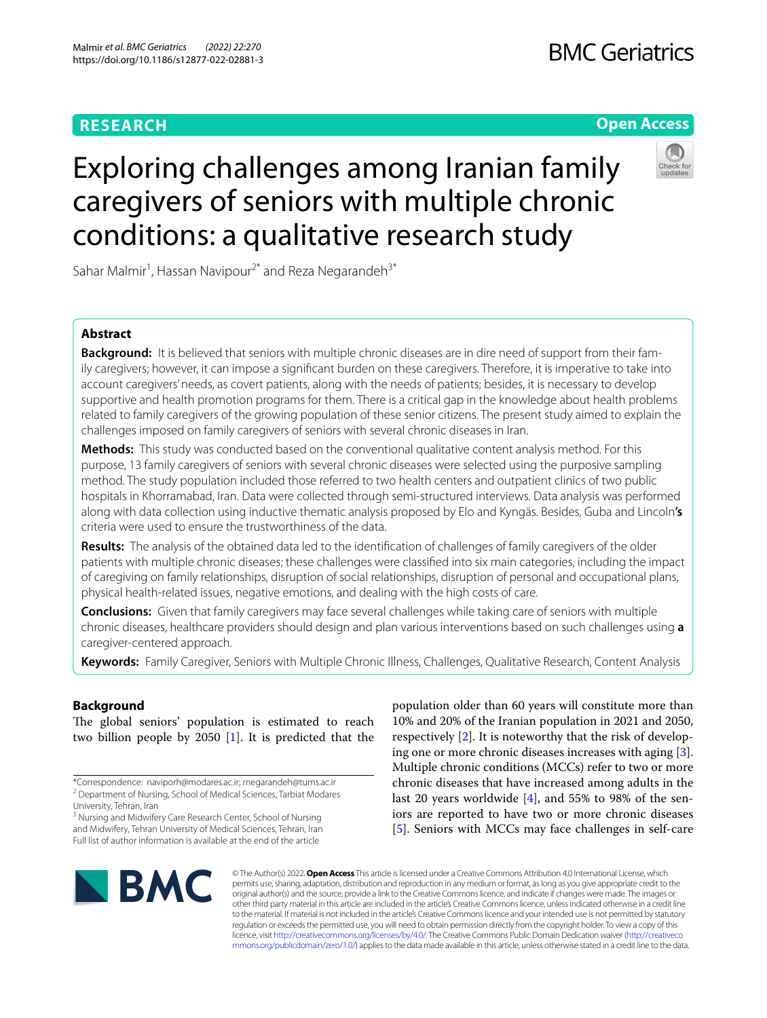# **RESEARCH**

# **Open Access**

# Exploring challenges among Iranian family caregivers of seniors with multiple chronic conditions: a qualitative research study

Sahar Malmir<sup>1</sup>, Hassan Navipour<sup>2\*</sup> and Reza Negarandeh<sup>3\*</sup>

# **Abstract**

**Background:** It is believed that seniors with multiple chronic diseases are in dire need of support from their family caregivers; however, it can impose a signifcant burden on these caregivers. Therefore, it is imperative to take into account caregivers' needs, as covert patients, along with the needs of patients; besides, it is necessary to develop supportive and health promotion programs for them. There is a critical gap in the knowledge about health problems related to family caregivers of the growing population of these senior citizens. The present study aimed to explain the challenges imposed on family caregivers of seniors with several chronic diseases in Iran.

**Methods:** This study was conducted based on the conventional qualitative content analysis method. For this purpose, 13 family caregivers of seniors with several chronic diseases were selected using the purposive sampling method. The study population included those referred to two health centers and outpatient clinics of two public hospitals in Khorramabad, Iran. Data were collected through semi-structured interviews. Data analysis was performed along with data collection using inductive thematic analysis proposed by Elo and Kyngäs. Besides, Guba and Lincoln**'s** criteria were used to ensure the trustworthiness of the data.

**Results:** The analysis of the obtained data led to the identifcation of challenges of family caregivers of the older patients with multiple chronic diseases; these challenges were classifed into six main categories, including the impact of caregiving on family relationships, disruption of social relationships, disruption of personal and occupational plans, physical health-related issues, negative emotions, and dealing with the high costs of care.

**Conclusions:** Given that family caregivers may face several challenges while taking care of seniors with multiple chronic diseases, healthcare providers should design and plan various interventions based on such challenges using **a** caregiver-centered approach.

**Keywords:** Family Caregiver, Seniors with Multiple Chronic Illness, Challenges, Qualitative Research, Content Analysis

## **Background**

The global seniors' population is estimated to reach two billion people by 2050 [[1](#page-10-0)]. It is predicted that the

\*Correspondence: naviporh@modares.ac.ir; rnegarandeh@tums.ac.ir <sup>2</sup> Department of Nursing, School of Medical Sciences, Tarbiat Modares

<sup>3</sup> Nursing and Midwifery Care Research Center, School of Nursing and Midwifery, Tehran University of Medical Sciences, Tehran, Iran Full list of author information is available at the end of the article

population older than 60 years will constitute more than 10% and 20% of the Iranian population in 2021 and 2050, respectively [[2\]](#page-10-1). It is noteworthy that the risk of developing one or more chronic diseases increases with aging [\[3](#page-10-2)]. Multiple chronic conditions (MCCs) refer to two or more chronic diseases that have increased among adults in the last 20 years worldwide [\[4](#page-11-0)], and 55% to 98% of the seniors are reported to have two or more chronic diseases [[5\]](#page-11-1). Seniors with MCCs may face challenges in self-care



© The Author(s) 2022. **Open Access** This article is licensed under a Creative Commons Attribution 4.0 International License, which permits use, sharing, adaptation, distribution and reproduction in any medium or format, as long as you give appropriate credit to the original author(s) and the source, provide a link to the Creative Commons licence, and indicate if changes were made. The images or other third party material in this article are included in the article's Creative Commons licence, unless indicated otherwise in a credit line to the material. If material is not included in the article's Creative Commons licence and your intended use is not permitted by statutory regulation or exceeds the permitted use, you will need to obtain permission directly from the copyright holder. To view a copy of this licence, visit [http://creativecommons.org/licenses/by/4.0/.](http://creativecommons.org/licenses/by/4.0/) The Creative Commons Public Domain Dedication waiver ([http://creativeco](http://creativecommons.org/publicdomain/zero/1.0/) [mmons.org/publicdomain/zero/1.0/](http://creativecommons.org/publicdomain/zero/1.0/)) applies to the data made available in this article, unless otherwise stated in a credit line to the data.

University, Tehran, Iran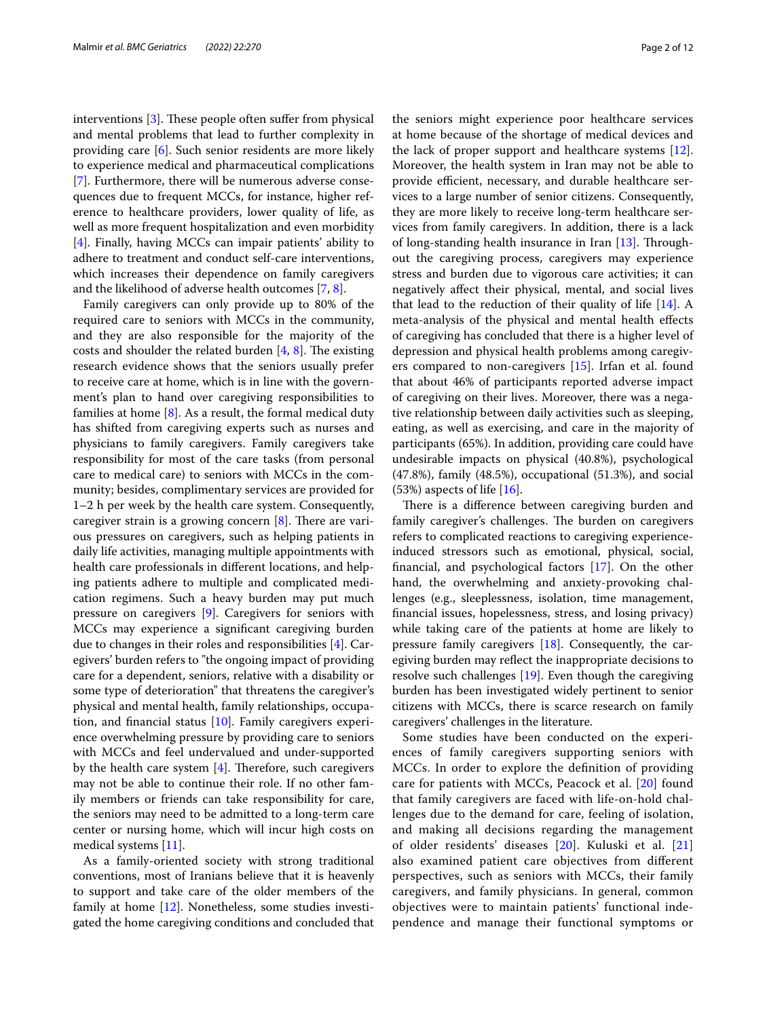interventions  $[3]$  $[3]$ . These people often suffer from physical and mental problems that lead to further complexity in providing care [[6\]](#page-11-2). Such senior residents are more likely to experience medical and pharmaceutical complications [[7\]](#page-11-3). Furthermore, there will be numerous adverse consequences due to frequent MCCs, for instance, higher reference to healthcare providers, lower quality of life, as well as more frequent hospitalization and even morbidity [[4\]](#page-11-0). Finally, having MCCs can impair patients' ability to adhere to treatment and conduct self-care interventions, which increases their dependence on family caregivers and the likelihood of adverse health outcomes [\[7](#page-11-3), [8\]](#page-11-4).

Family caregivers can only provide up to 80% of the required care to seniors with MCCs in the community, and they are also responsible for the majority of the costs and shoulder the related burden  $[4, 8]$  $[4, 8]$  $[4, 8]$  $[4, 8]$ . The existing research evidence shows that the seniors usually prefer to receive care at home, which is in line with the government's plan to hand over caregiving responsibilities to families at home  $[8]$  $[8]$ . As a result, the formal medical duty has shifted from caregiving experts such as nurses and physicians to family caregivers. Family caregivers take responsibility for most of the care tasks (from personal care to medical care) to seniors with MCCs in the community; besides, complimentary services are provided for 1–2 h per week by the health care system. Consequently, caregiver strain is a growing concern  $[8]$  $[8]$ . There are various pressures on caregivers, such as helping patients in daily life activities, managing multiple appointments with health care professionals in diferent locations, and helping patients adhere to multiple and complicated medication regimens. Such a heavy burden may put much pressure on caregivers [[9\]](#page-11-5). Caregivers for seniors with MCCs may experience a signifcant caregiving burden due to changes in their roles and responsibilities [\[4](#page-11-0)]. Caregivers' burden refers to "the ongoing impact of providing care for a dependent, seniors, relative with a disability or some type of deterioration" that threatens the caregiver's physical and mental health, family relationships, occupation, and financial status  $[10]$  $[10]$ . Family caregivers experience overwhelming pressure by providing care to seniors with MCCs and feel undervalued and under-supported by the health care system  $[4]$  $[4]$ . Therefore, such caregivers may not be able to continue their role. If no other family members or friends can take responsibility for care, the seniors may need to be admitted to a long-term care center or nursing home, which will incur high costs on medical systems [[11](#page-11-7)].

As a family-oriented society with strong traditional conventions, most of Iranians believe that it is heavenly to support and take care of the older members of the family at home [\[12](#page-11-8)]. Nonetheless, some studies investigated the home caregiving conditions and concluded that the seniors might experience poor healthcare services at home because of the shortage of medical devices and the lack of proper support and healthcare systems [\[12](#page-11-8)]. Moreover, the health system in Iran may not be able to provide efficient, necessary, and durable healthcare services to a large number of senior citizens. Consequently, they are more likely to receive long-term healthcare services from family caregivers. In addition, there is a lack of long-standing health insurance in Iran  $[13]$  $[13]$ . Throughout the caregiving process, caregivers may experience stress and burden due to vigorous care activities; it can negatively afect their physical, mental, and social lives that lead to the reduction of their quality of life [[14\]](#page-11-10). A meta-analysis of the physical and mental health efects of caregiving has concluded that there is a higher level of depression and physical health problems among caregivers compared to non-caregivers [\[15\]](#page-11-11). Irfan et al. found that about 46% of participants reported adverse impact of caregiving on their lives. Moreover, there was a negative relationship between daily activities such as sleeping, eating, as well as exercising, and care in the majority of participants (65%). In addition, providing care could have undesirable impacts on physical (40.8%), psychological (47.8%), family (48.5%), occupational (51.3%), and social  $(53%)$  aspects of life  $[16]$  $[16]$ .

There is a difference between caregiving burden and family caregiver's challenges. The burden on caregivers refers to complicated reactions to caregiving experienceinduced stressors such as emotional, physical, social, fnancial, and psychological factors [[17](#page-11-13)]. On the other hand, the overwhelming and anxiety-provoking challenges (e.g., sleeplessness, isolation, time management, fnancial issues, hopelessness, stress, and losing privacy) while taking care of the patients at home are likely to pressure family caregivers [[18](#page-11-14)]. Consequently, the caregiving burden may reflect the inappropriate decisions to resolve such challenges [\[19\]](#page-11-15). Even though the caregiving burden has been investigated widely pertinent to senior citizens with MCCs, there is scarce research on family caregivers' challenges in the literature.

Some studies have been conducted on the experiences of family caregivers supporting seniors with MCCs. In order to explore the defnition of providing care for patients with MCCs, Peacock et al. [\[20](#page-11-16)] found that family caregivers are faced with life-on-hold challenges due to the demand for care, feeling of isolation, and making all decisions regarding the management of older residents' diseases [[20\]](#page-11-16). Kuluski et al. [\[21](#page-11-17)] also examined patient care objectives from diferent perspectives, such as seniors with MCCs, their family caregivers, and family physicians. In general, common objectives were to maintain patients' functional independence and manage their functional symptoms or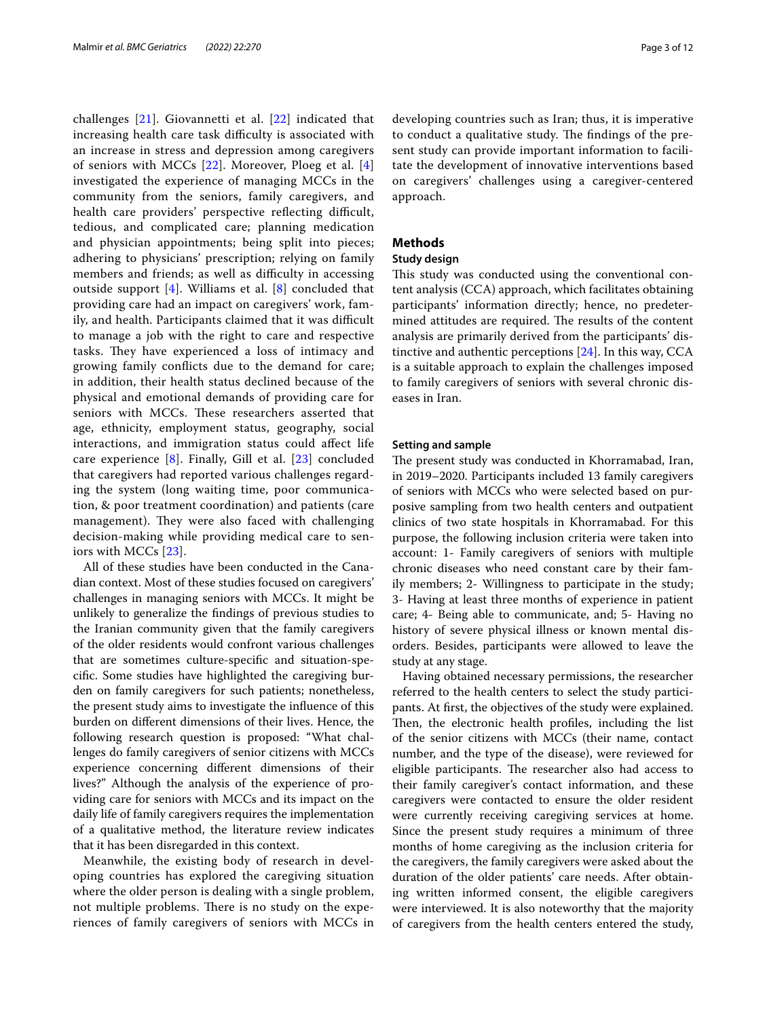challenges [[21](#page-11-17)]. Giovannetti et al. [[22\]](#page-11-18) indicated that increasing health care task difficulty is associated with an increase in stress and depression among caregivers of seniors with MCCs [[22\]](#page-11-18). Moreover, Ploeg et al. [\[4](#page-11-0)] investigated the experience of managing MCCs in the community from the seniors, family caregivers, and health care providers' perspective reflecting difficult, tedious, and complicated care; planning medication and physician appointments; being split into pieces; adhering to physicians' prescription; relying on family members and friends; as well as difficulty in accessing outside support [\[4](#page-11-0)]. Williams et al. [[8\]](#page-11-4) concluded that providing care had an impact on caregivers' work, family, and health. Participants claimed that it was difficult to manage a job with the right to care and respective tasks. They have experienced a loss of intimacy and growing family conficts due to the demand for care; in addition, their health status declined because of the physical and emotional demands of providing care for seniors with MCCs. These researchers asserted that age, ethnicity, employment status, geography, social interactions, and immigration status could afect life care experience [\[8\]](#page-11-4). Finally, Gill et al. [\[23\]](#page-11-19) concluded that caregivers had reported various challenges regarding the system (long waiting time, poor communication, & poor treatment coordination) and patients (care management). They were also faced with challenging decision-making while providing medical care to seniors with MCCs [[23](#page-11-19)].

All of these studies have been conducted in the Canadian context. Most of these studies focused on caregivers' challenges in managing seniors with MCCs. It might be unlikely to generalize the fndings of previous studies to the Iranian community given that the family caregivers of the older residents would confront various challenges that are sometimes culture-specifc and situation-specifc. Some studies have highlighted the caregiving burden on family caregivers for such patients; nonetheless, the present study aims to investigate the infuence of this burden on diferent dimensions of their lives. Hence, the following research question is proposed: "What challenges do family caregivers of senior citizens with MCCs experience concerning diferent dimensions of their lives?" Although the analysis of the experience of providing care for seniors with MCCs and its impact on the daily life of family caregivers requires the implementation of a qualitative method, the literature review indicates that it has been disregarded in this context.

Meanwhile, the existing body of research in developing countries has explored the caregiving situation where the older person is dealing with a single problem, not multiple problems. There is no study on the experiences of family caregivers of seniors with MCCs in developing countries such as Iran; thus, it is imperative to conduct a qualitative study. The findings of the present study can provide important information to facilitate the development of innovative interventions based on caregivers' challenges using a caregiver-centered approach.

### **Methods**

#### **Study design**

This study was conducted using the conventional content analysis (CCA) approach, which facilitates obtaining participants' information directly; hence, no predetermined attitudes are required. The results of the content analysis are primarily derived from the participants' distinctive and authentic perceptions [\[24](#page-11-20)]. In this way, CCA is a suitable approach to explain the challenges imposed to family caregivers of seniors with several chronic diseases in Iran.

#### **Setting and sample**

The present study was conducted in Khorramabad, Iran, in 2019–2020. Participants included 13 family caregivers of seniors with MCCs who were selected based on purposive sampling from two health centers and outpatient clinics of two state hospitals in Khorramabad. For this purpose, the following inclusion criteria were taken into account: 1- Family caregivers of seniors with multiple chronic diseases who need constant care by their family members; 2- Willingness to participate in the study; 3- Having at least three months of experience in patient care; 4- Being able to communicate, and; 5- Having no history of severe physical illness or known mental disorders. Besides, participants were allowed to leave the study at any stage.

Having obtained necessary permissions, the researcher referred to the health centers to select the study participants. At frst, the objectives of the study were explained. Then, the electronic health profiles, including the list of the senior citizens with MCCs (their name, contact number, and the type of the disease), were reviewed for eligible participants. The researcher also had access to their family caregiver's contact information, and these caregivers were contacted to ensure the older resident were currently receiving caregiving services at home. Since the present study requires a minimum of three months of home caregiving as the inclusion criteria for the caregivers, the family caregivers were asked about the duration of the older patients' care needs. After obtaining written informed consent, the eligible caregivers were interviewed. It is also noteworthy that the majority of caregivers from the health centers entered the study,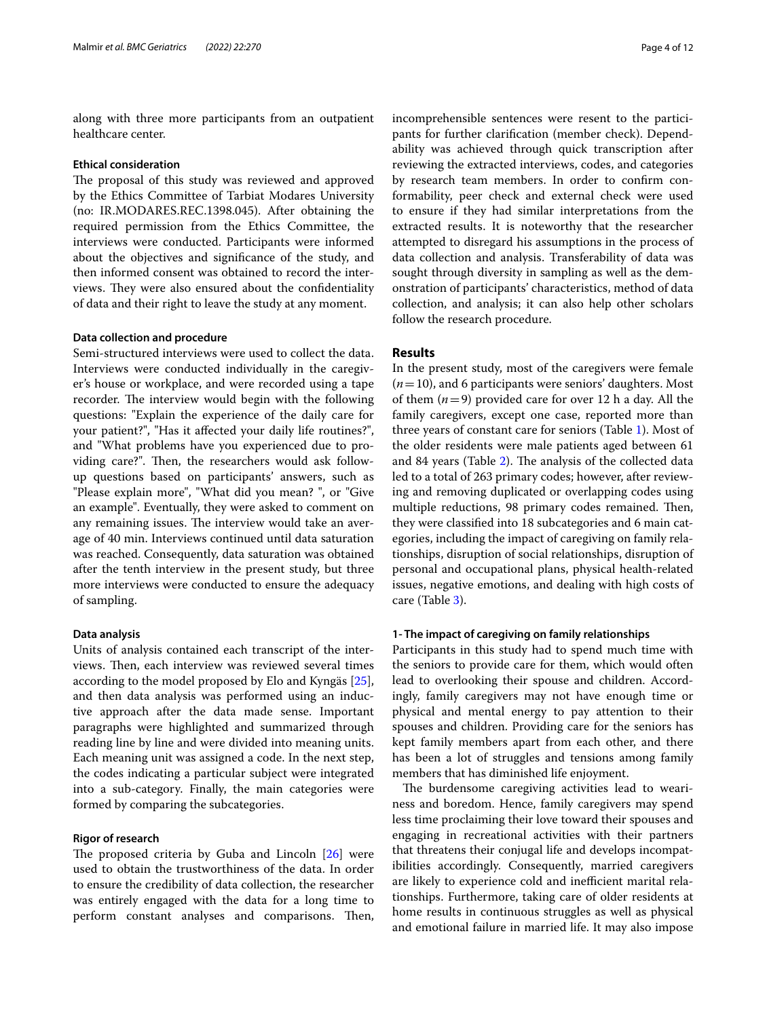along with three more participants from an outpatient healthcare center.

#### **Ethical consideration**

The proposal of this study was reviewed and approved by the Ethics Committee of Tarbiat Modares University (no: IR.MODARES.REC.1398.045). After obtaining the required permission from the Ethics Committee, the interviews were conducted. Participants were informed about the objectives and signifcance of the study, and then informed consent was obtained to record the interviews. They were also ensured about the confidentiality of data and their right to leave the study at any moment.

#### **Data collection and procedure**

Semi-structured interviews were used to collect the data. Interviews were conducted individually in the caregiver's house or workplace, and were recorded using a tape recorder. The interview would begin with the following questions: "Explain the experience of the daily care for your patient?", "Has it afected your daily life routines?", and "What problems have you experienced due to providing care?". Then, the researchers would ask followup questions based on participants' answers, such as "Please explain more", "What did you mean? ", or "Give an example". Eventually, they were asked to comment on any remaining issues. The interview would take an average of 40 min. Interviews continued until data saturation was reached. Consequently, data saturation was obtained after the tenth interview in the present study, but three more interviews were conducted to ensure the adequacy of sampling.

#### **Data analysis**

Units of analysis contained each transcript of the interviews. Then, each interview was reviewed several times according to the model proposed by Elo and Kyngäs [\[25](#page-11-21)], and then data analysis was performed using an inductive approach after the data made sense. Important paragraphs were highlighted and summarized through reading line by line and were divided into meaning units. Each meaning unit was assigned a code. In the next step, the codes indicating a particular subject were integrated into a sub-category. Finally, the main categories were formed by comparing the subcategories.

#### **Rigor of research**

The proposed criteria by Guba and Lincoln  $[26]$  $[26]$  were used to obtain the trustworthiness of the data. In order to ensure the credibility of data collection, the researcher was entirely engaged with the data for a long time to perform constant analyses and comparisons. Then, incomprehensible sentences were resent to the participants for further clarifcation (member check). Dependability was achieved through quick transcription after reviewing the extracted interviews, codes, and categories by research team members. In order to confrm conformability, peer check and external check were used to ensure if they had similar interpretations from the extracted results. It is noteworthy that the researcher attempted to disregard his assumptions in the process of data collection and analysis. Transferability of data was sought through diversity in sampling as well as the demonstration of participants' characteristics, method of data collection, and analysis; it can also help other scholars follow the research procedure.

#### **Results**

In the present study, most of the caregivers were female (*n*=10), and 6 participants were seniors' daughters. Most of them  $(n=9)$  provided care for over 12 h a day. All the family caregivers, except one case, reported more than three years of constant care for seniors (Table [1\)](#page-4-0). Most of the older residents were male patients aged between 61 and 84 years (Table [2](#page-5-0)). The analysis of the collected data led to a total of 263 primary codes; however, after reviewing and removing duplicated or overlapping codes using multiple reductions, 98 primary codes remained. Then, they were classifed into 18 subcategories and 6 main categories, including the impact of caregiving on family relationships, disruption of social relationships, disruption of personal and occupational plans, physical health-related issues, negative emotions, and dealing with high costs of care (Table [3\)](#page-6-0).

#### **1‑ The impact of caregiving on family relationships**

Participants in this study had to spend much time with the seniors to provide care for them, which would often lead to overlooking their spouse and children. Accordingly, family caregivers may not have enough time or physical and mental energy to pay attention to their spouses and children. Providing care for the seniors has kept family members apart from each other, and there has been a lot of struggles and tensions among family members that has diminished life enjoyment.

The burdensome caregiving activities lead to weariness and boredom. Hence, family caregivers may spend less time proclaiming their love toward their spouses and engaging in recreational activities with their partners that threatens their conjugal life and develops incompatibilities accordingly. Consequently, married caregivers are likely to experience cold and inefficient marital relationships. Furthermore, taking care of older residents at home results in continuous struggles as well as physical and emotional failure in married life. It may also impose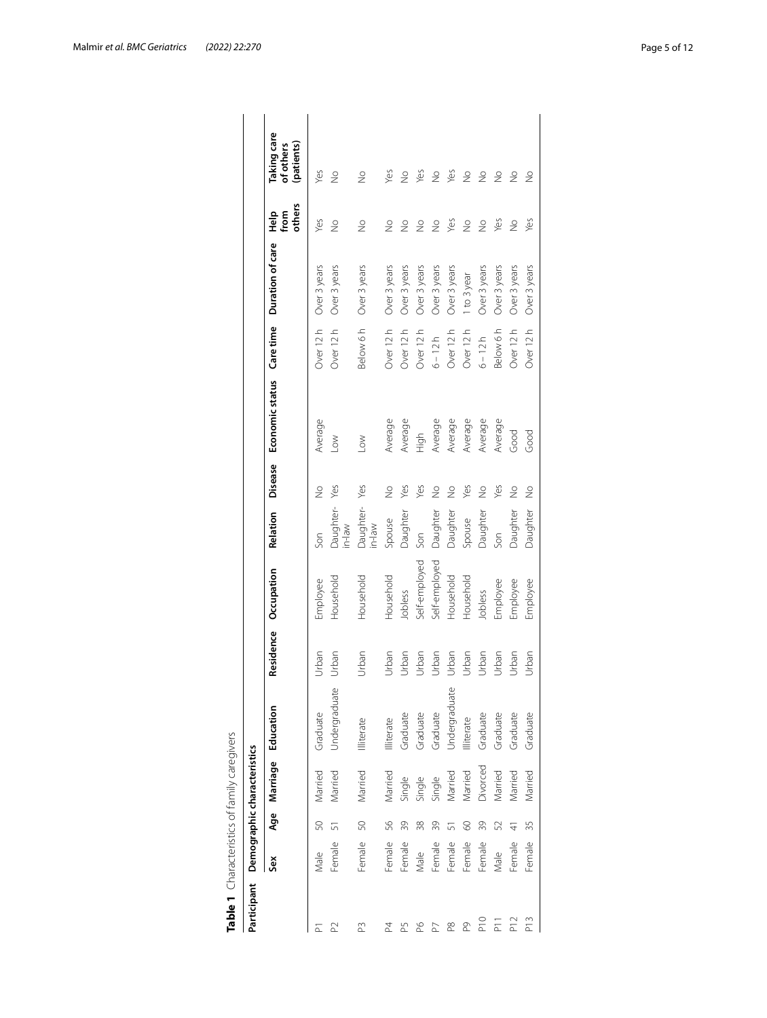| Undergraduate<br>Undergraduate<br>Age Marriage Education<br>Graduate<br>Graduate<br>Graduate<br>Graduate<br>Graduate<br>Graduate<br>Illiterate<br>Illiterate<br>Illiterate<br>Divorced<br>Married<br>Married<br>Married<br>Married<br>Married<br>Married<br>Married<br>Single<br>Single<br>Single<br>57<br>50<br>39<br>50<br>56<br>39<br>39<br>52<br>38<br>8<br>51<br>Female<br>Female<br>Female<br>Female<br>Female<br>Female<br>Female<br>Female<br>Male<br>Male<br>Male<br>ŠěX<br>P <sub>10</sub><br>$\overline{P}$<br>P3<br>9d<br>$_{\rm{p}}^{\infty}$<br>PQ.<br>$\mathbb{R}$<br>24<br>P5<br>ò | Residence Occupation   |                             |                           |           |                  |                                       |                                        |
|----------------------------------------------------------------------------------------------------------------------------------------------------------------------------------------------------------------------------------------------------------------------------------------------------------------------------------------------------------------------------------------------------------------------------------------------------------------------------------------------------------------------------------------------------------------------------------------------------|------------------------|-----------------------------|---------------------------|-----------|------------------|---------------------------------------|----------------------------------------|
|                                                                                                                                                                                                                                                                                                                                                                                                                                                                                                                                                                                                    |                        | <b>Disease</b><br>Relation  | Economic status Care time |           | Duration of care | others<br>오유<br>1<br>1<br>1<br>1<br>1 | Taking care<br>(patients)<br>of others |
|                                                                                                                                                                                                                                                                                                                                                                                                                                                                                                                                                                                                    | Employee<br>Urban      | $\frac{1}{2}$<br>Son        | Average                   | Over 12 h | Over 3 years     | Yes                                   | Yes                                    |
|                                                                                                                                                                                                                                                                                                                                                                                                                                                                                                                                                                                                    | Household<br>Urban     | Yes<br>Daughter-<br>in-law  | $\geq$                    | Over 12 h | Over 3 years     | $\frac{1}{2}$                         | $\frac{1}{2}$                          |
|                                                                                                                                                                                                                                                                                                                                                                                                                                                                                                                                                                                                    | Household<br>Urban     | Yes<br>Daughter-<br>$m = 1$ | $\geq$                    | Below 6 h | Over 3 years     | $\frac{1}{2}$                         | $\frac{1}{2}$                          |
|                                                                                                                                                                                                                                                                                                                                                                                                                                                                                                                                                                                                    | Household<br>Urban     | $\frac{1}{2}$<br>Spouse     | Average                   | Over 12 h | Over 3 years     | $\frac{1}{2}$                         | Yes                                    |
|                                                                                                                                                                                                                                                                                                                                                                                                                                                                                                                                                                                                    | Jobless<br>Urban       | Yes<br>Daughter             | Average                   | Over 12 h | Over 3 years     | $\frac{0}{2}$                         | $\frac{1}{2}$                          |
|                                                                                                                                                                                                                                                                                                                                                                                                                                                                                                                                                                                                    | Self-employed<br>Urban | Yes<br>Son                  | High                      | Over 12 h | Over 3 years     | $\frac{1}{2}$                         | Yes                                    |
|                                                                                                                                                                                                                                                                                                                                                                                                                                                                                                                                                                                                    | Self-employed<br>Urban | $\frac{1}{2}$<br>Daughter   | Average                   | $6 - 12h$ | Over 3 years     | $\frac{1}{2}$                         | $\frac{1}{2}$                          |
|                                                                                                                                                                                                                                                                                                                                                                                                                                                                                                                                                                                                    | Household<br>Urban     | $\frac{1}{2}$<br>Daughter   | Average                   | Over 12 h | Over 3 years     | Yes                                   | Yes                                    |
|                                                                                                                                                                                                                                                                                                                                                                                                                                                                                                                                                                                                    | Household<br>Urban     | Yes<br>Spouse               | Average                   | Over 12 h | 1 to 3 year      | $\frac{1}{2}$                         | $\geq$                                 |
|                                                                                                                                                                                                                                                                                                                                                                                                                                                                                                                                                                                                    | Jobless<br>Urban       | $\frac{1}{2}$<br>Daughter   | Average                   | $6 - 12h$ | Over 3 years     | $\frac{1}{2}$                         | $\frac{1}{2}$                          |
|                                                                                                                                                                                                                                                                                                                                                                                                                                                                                                                                                                                                    | Employee<br>Urban      | Yes<br>Son                  | Average                   | Below 6 h | Over 3 years     | Yes                                   | $\frac{1}{2}$                          |
| Graduate<br>Married<br>$\frac{1}{4}$<br>Female<br>P <sub>12</sub>                                                                                                                                                                                                                                                                                                                                                                                                                                                                                                                                  | Employee<br>Urban      | $\frac{1}{2}$<br>Daughter   | Good                      | Over 12 h | Over 3 years     | $\frac{1}{2}$                         | $\frac{1}{2}$                          |
| Graduate<br>Married<br>35<br>Female<br>P13                                                                                                                                                                                                                                                                                                                                                                                                                                                                                                                                                         | Employee<br>Urban      | $\frac{1}{2}$<br>Daughter   | Good                      | Over 12 h | Over 3 years     | Yes                                   | $\frac{1}{2}$                          |

<span id="page-4-0"></span>

| ייי היי המוז<br>١                    |
|--------------------------------------|
| $+20$<br>i                           |
| 5<br>しっとしょう アート・ファー<br>$\frac{1}{2}$ |
| ţ                                    |
|                                      |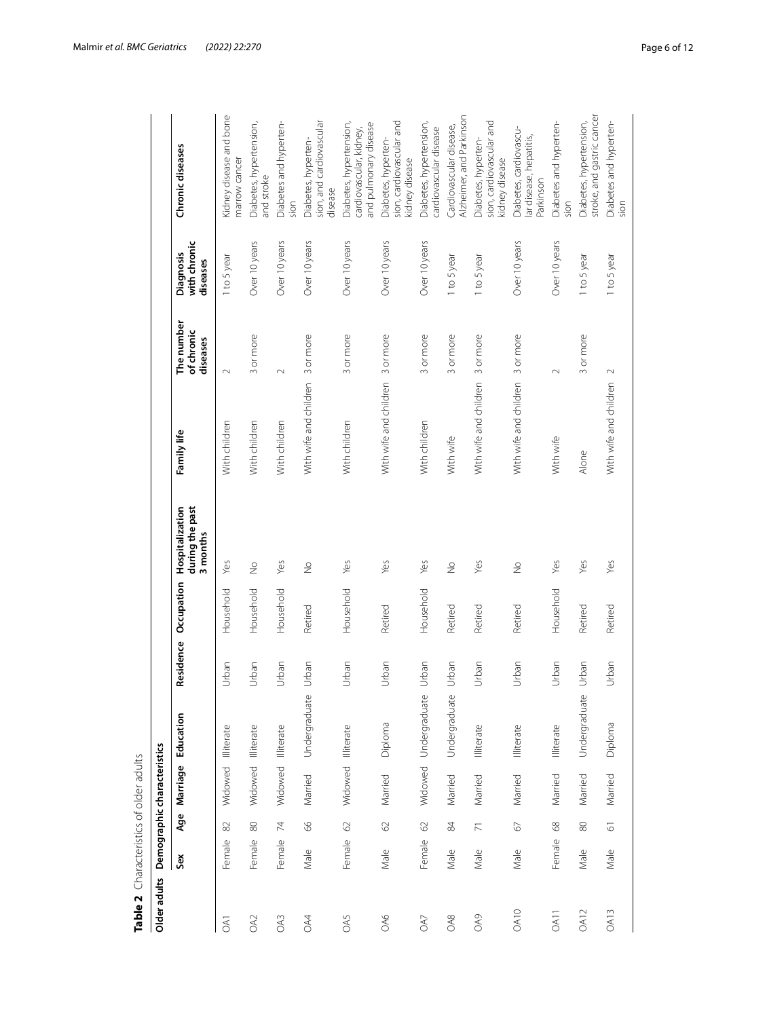| Table 2 Characteristics of older adults |        |                     |                             |                       |           |            |                                                |                                  |                                      |                                       |                                                                             |
|-----------------------------------------|--------|---------------------|-----------------------------|-----------------------|-----------|------------|------------------------------------------------|----------------------------------|--------------------------------------|---------------------------------------|-----------------------------------------------------------------------------|
| Older adults                            |        |                     | Demographic characteristics |                       |           |            |                                                |                                  |                                      |                                       |                                                                             |
|                                         | Sex    | Age                 | Marriage                    | Education             | Residence | Occupation | during the past<br>Hospitalization<br>3 months | Family life                      | The number<br>of chronic<br>diseases | with chronic<br>Diagnosis<br>diseases | Chronic diseases                                                            |
| <b>DA1</b>                              | Female | $\approx$           | Widowed Illiterate          |                       | Urban     | Household  | Yes                                            | With children                    | $\sim$                               | 1 to 5 year                           | Kidney disease and bone<br>narrow cancer                                    |
| <b>CKO</b>                              | Female | 80                  | Widowed                     | Illiterate            | Urban     | Household  | $\frac{1}{2}$                                  | With children                    | 3 or more                            | Over 10 years                         | Diabetes, hypertension,<br>and stroke                                       |
| OA3                                     | Female | 74                  | Widowed Illiterate          |                       | Urban     | Household  | Yes                                            | With children                    | $\sim$                               | Over 10 years                         | Diabetes and hyperten-<br>sion                                              |
| OA4                                     | Male   | 66                  | Married                     | Undergraduate         | Urban     | Retired    | $\frac{1}{2}$                                  | With wife and children 3 or more |                                      | Over 10 years                         | sion, and cardiovascular<br>Diabetes, hyperten-<br>disease                  |
| OA5                                     | Female | $\odot$             | Widowed                     | Illiterate            | Urban     | Household  | Yes                                            | With children                    | 3 or more                            | Over 10 years                         | Diabetes, hypertension,<br>and pulmonary disease<br>cardiovascular, kidney, |
| OA6                                     | Male   | $\odot$             | Married                     | Diploma               | Urban     | Retired    | Yes                                            | With wife and children 3 or more |                                      | Over 10 years                         | sion, cardiovascular and<br>Diabetes, hyperten-<br>kidney disease           |
| <b>OA7</b>                              | Female | $\odot$             |                             | Widowed Undergraduate | Urban     | Household  | Yes                                            | With children                    | 3 or more                            | Over 10 years                         | Diabetes, hypertension,<br>cardiovascular disease                           |
| OA8                                     | Male   | $\frac{8}{3}$       | Married                     | Undergraduate         | Urban     | Retired    | $\frac{1}{2}$                                  | With wife                        | 3 or more                            | 1 to 5 year                           | Alzheimer, and Parkinson<br>Cardiovascular disease,                         |
| <b>OA9</b>                              | Male   | $\overline{\wedge}$ | Married                     | Illiterate            | Urban     | Retired    | Yes                                            | With wife and children 3 or more |                                      | 1 to 5 year                           | sion, cardiovascular and<br>Diabetes, hyperten-<br>kidney disease           |
| <b>OA10</b>                             | Male   | $\mathcal{Q}$       | Married                     | Illiterate            | Urban     | Retired    | $\frac{1}{2}$                                  | With wife and children 3 or more |                                      | Over 10 years                         | Diabetes, cardiovascu-<br>lar disease, hepatitis,<br>Parkinson              |
| OA11                                    | Female | 68                  | Married                     | Illiterate            | Urban     | Household  | Yes                                            | With wife                        | $\sim$                               | Over 10 years                         | Diabetes and hyperten-<br>sion                                              |
| <b>OA12</b>                             | Male   | $\otimes$           | Married                     | Undergraduate         | Urban     | Retired    | Yes                                            | Alone                            | 3 or more                            | 1 to 5 year                           | stroke, and gastric cancer<br>Diabetes, hypertension,                       |
| <b>OA13</b>                             | Male   | $\overline{6}$      | Married                     | Diploma               | Urban     | Retired    | Yes                                            | With wife and children           | $\sim$                               | 1 to 5 year                           | Diabetes and hyperten-<br>sion                                              |

<span id="page-5-0"></span>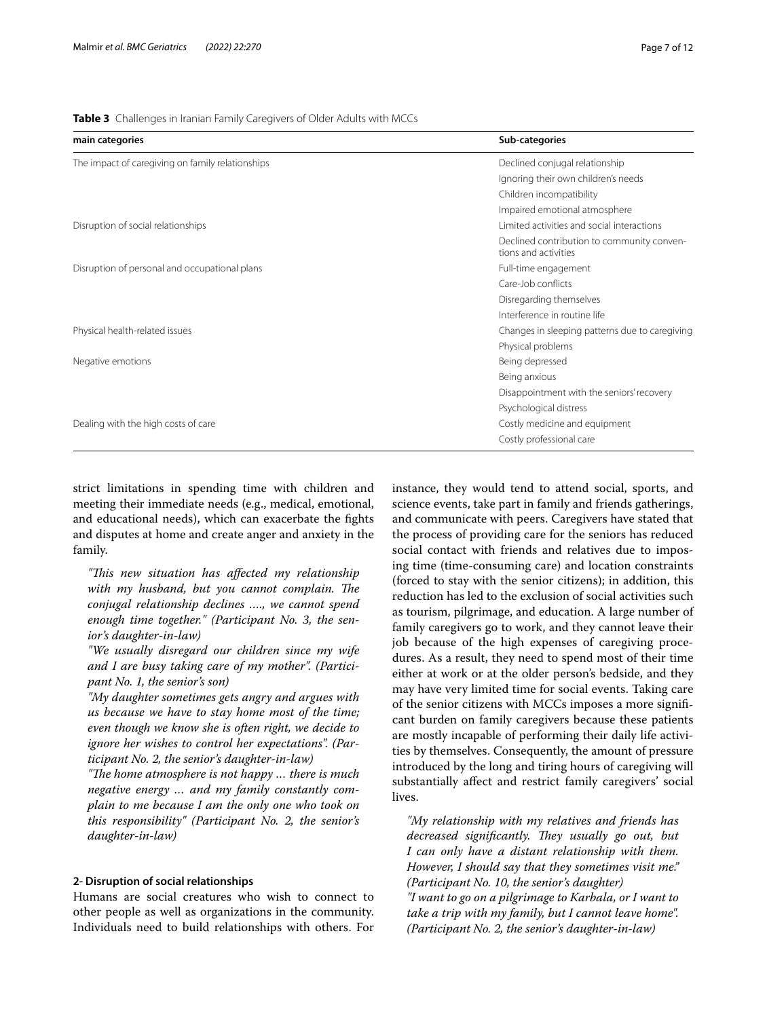<span id="page-6-0"></span>**Table 3** Challenges in Iranian Family Caregivers of Older Adults with MCCs

| main categories                                  | Sub-categories                                                     |
|--------------------------------------------------|--------------------------------------------------------------------|
| The impact of caregiving on family relationships | Declined conjugal relationship                                     |
|                                                  | Ignoring their own children's needs                                |
|                                                  | Children incompatibility                                           |
|                                                  | Impaired emotional atmosphere                                      |
| Disruption of social relationships               | Limited activities and social interactions                         |
|                                                  | Declined contribution to community conven-<br>tions and activities |
| Disruption of personal and occupational plans    | Full-time engagement                                               |
|                                                  | Care-Job conflicts                                                 |
|                                                  | Disregarding themselves                                            |
|                                                  | Interference in routine life                                       |
| Physical health-related issues                   | Changes in sleeping patterns due to caregiving                     |
|                                                  | Physical problems                                                  |
| Negative emotions                                | Being depressed                                                    |
|                                                  | Being anxious                                                      |
|                                                  | Disappointment with the seniors' recovery                          |
|                                                  | Psychological distress                                             |
| Dealing with the high costs of care              | Costly medicine and equipment                                      |
|                                                  | Costly professional care                                           |
|                                                  |                                                                    |

strict limitations in spending time with children and meeting their immediate needs (e.g., medical, emotional, and educational needs), which can exacerbate the fghts and disputes at home and create anger and anxiety in the family.

*"Tis new situation has afected my relationship*  with my husband, but you cannot complain. The *conjugal relationship declines …., we cannot spend enough time together." (Participant No. 3, the senior's daughter-in-law)*

*"We usually disregard our children since my wife and I are busy taking care of my mother". (Participant No. 1, the senior's son)*

*"My daughter sometimes gets angry and argues with us because we have to stay home most of the time; even though we know she is often right, we decide to ignore her wishes to control her expectations". (Participant No. 2, the senior's daughter-in-law)*

"The home atmosphere is not happy ... there is much *negative energy … and my family constantly complain to me because I am the only one who took on this responsibility" (Participant No. 2, the senior's daughter-in-law)*

#### **2‑ Disruption of social relationships**

Humans are social creatures who wish to connect to other people as well as organizations in the community. Individuals need to build relationships with others. For instance, they would tend to attend social, sports, and science events, take part in family and friends gatherings, and communicate with peers. Caregivers have stated that the process of providing care for the seniors has reduced social contact with friends and relatives due to imposing time (time-consuming care) and location constraints (forced to stay with the senior citizens); in addition, this reduction has led to the exclusion of social activities such as tourism, pilgrimage, and education. A large number of family caregivers go to work, and they cannot leave their job because of the high expenses of caregiving procedures. As a result, they need to spend most of their time either at work or at the older person's bedside, and they may have very limited time for social events. Taking care of the senior citizens with MCCs imposes a more signifcant burden on family caregivers because these patients are mostly incapable of performing their daily life activities by themselves. Consequently, the amount of pressure introduced by the long and tiring hours of caregiving will substantially afect and restrict family caregivers' social lives.

*"My relationship with my relatives and friends has decreased significantly. They usually go out, but I can only have a distant relationship with them. However, I should say that they sometimes visit me." (Participant No. 10, the senior's daughter) "I want to go on a pilgrimage to Karbala, or I want to take a trip with my family, but I cannot leave home". (Participant No. 2, the senior's daughter-in-law)*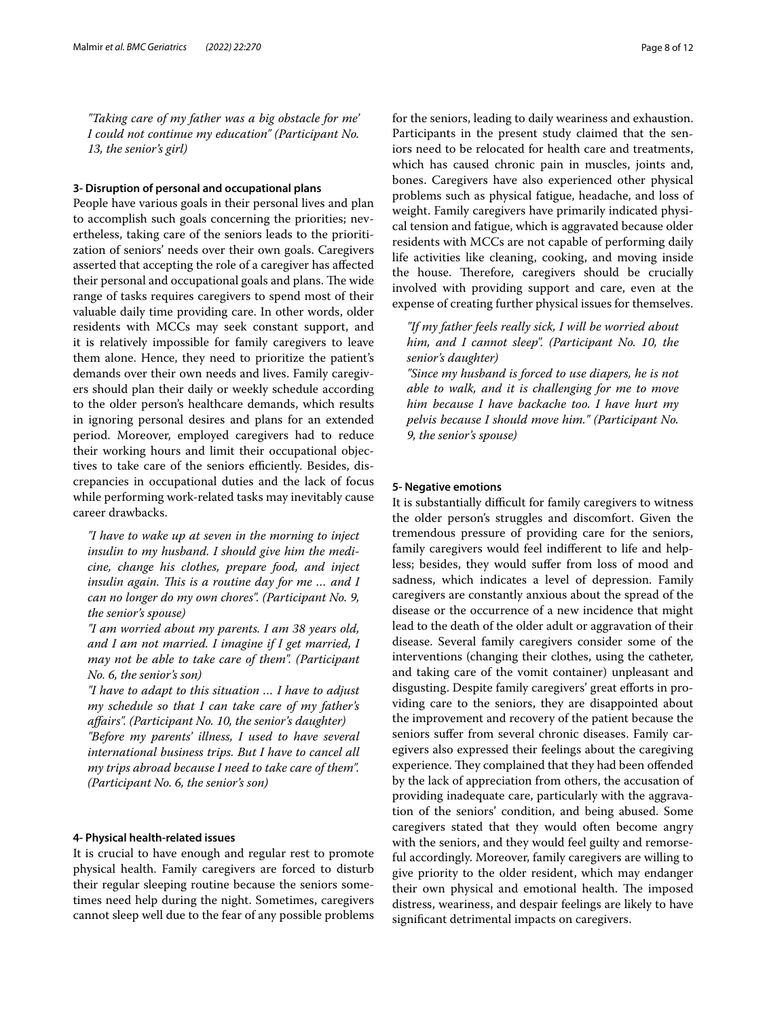*"Taking care of my father was a big obstacle for me' I could not continue my education" (Participant No. 13, the senior's girl)*

#### **3‑ Disruption of personal and occupational plans**

People have various goals in their personal lives and plan to accomplish such goals concerning the priorities; nevertheless, taking care of the seniors leads to the prioritization of seniors' needs over their own goals. Caregivers asserted that accepting the role of a caregiver has afected their personal and occupational goals and plans. The wide range of tasks requires caregivers to spend most of their valuable daily time providing care. In other words, older residents with MCCs may seek constant support, and it is relatively impossible for family caregivers to leave them alone. Hence, they need to prioritize the patient's demands over their own needs and lives. Family caregivers should plan their daily or weekly schedule according to the older person's healthcare demands, which results in ignoring personal desires and plans for an extended period. Moreover, employed caregivers had to reduce their working hours and limit their occupational objectives to take care of the seniors efficiently. Besides, discrepancies in occupational duties and the lack of focus while performing work-related tasks may inevitably cause career drawbacks.

*"I have to wake up at seven in the morning to inject insulin to my husband. I should give him the medicine, change his clothes, prepare food, and inject insulin again. This is a routine day for me ... and I can no longer do my own chores". (Participant No. 9, the senior's spouse)*

*"I am worried about my parents. I am 38 years old, and I am not married. I imagine if I get married, I may not be able to take care of them". (Participant No. 6, the senior's son)*

*"I have to adapt to this situation … I have to adjust my schedule so that I can take care of my father's afairs". (Participant No. 10, the senior's daughter) "Before my parents' illness, I used to have several international business trips. But I have to cancel all my trips abroad because I need to take care of them". (Participant No. 6, the senior's son)*

#### **4‑ Physical health‑related issues**

It is crucial to have enough and regular rest to promote physical health. Family caregivers are forced to disturb their regular sleeping routine because the seniors sometimes need help during the night. Sometimes, caregivers cannot sleep well due to the fear of any possible problems for the seniors, leading to daily weariness and exhaustion. Participants in the present study claimed that the seniors need to be relocated for health care and treatments, which has caused chronic pain in muscles, joints and, bones. Caregivers have also experienced other physical problems such as physical fatigue, headache, and loss of weight. Family caregivers have primarily indicated physical tension and fatigue, which is aggravated because older residents with MCCs are not capable of performing daily life activities like cleaning, cooking, and moving inside the house. Therefore, caregivers should be crucially involved with providing support and care, even at the expense of creating further physical issues for themselves.

*"If my father feels really sick, I will be worried about him, and I cannot sleep". (Participant No. 10, the senior's daughter)*

*"Since my husband is forced to use diapers, he is not able to walk, and it is challenging for me to move him because I have backache too. I have hurt my pelvis because I should move him." (Participant No. 9, the senior's spouse)*

#### **5‑ Negative emotions**

It is substantially difficult for family caregivers to witness the older person's struggles and discomfort. Given the tremendous pressure of providing care for the seniors, family caregivers would feel indiferent to life and helpless; besides, they would sufer from loss of mood and sadness, which indicates a level of depression. Family caregivers are constantly anxious about the spread of the disease or the occurrence of a new incidence that might lead to the death of the older adult or aggravation of their disease. Several family caregivers consider some of the interventions (changing their clothes, using the catheter, and taking care of the vomit container) unpleasant and disgusting. Despite family caregivers' great eforts in providing care to the seniors, they are disappointed about the improvement and recovery of the patient because the seniors suffer from several chronic diseases. Family caregivers also expressed their feelings about the caregiving experience. They complained that they had been offended by the lack of appreciation from others, the accusation of providing inadequate care, particularly with the aggravation of the seniors' condition, and being abused. Some caregivers stated that they would often become angry with the seniors, and they would feel guilty and remorseful accordingly. Moreover, family caregivers are willing to give priority to the older resident, which may endanger their own physical and emotional health. The imposed distress, weariness, and despair feelings are likely to have signifcant detrimental impacts on caregivers.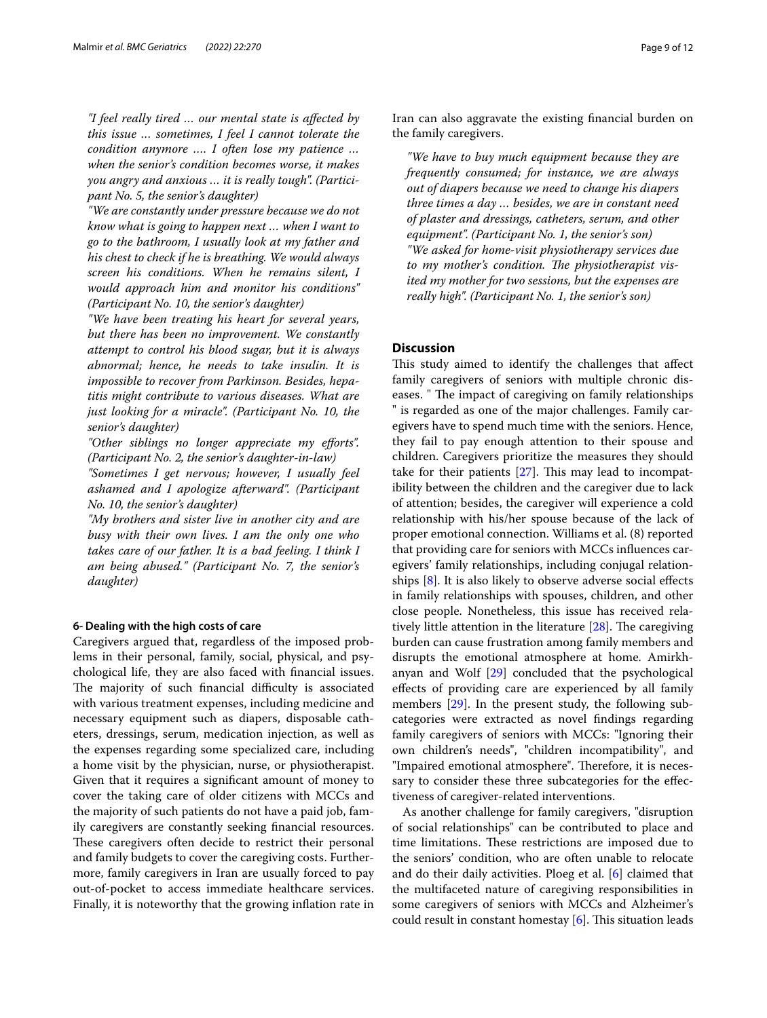*"I feel really tired … our mental state is afected by this issue … sometimes, I feel I cannot tolerate the condition anymore …. I often lose my patience … when the senior's condition becomes worse, it makes you angry and anxious … it is really tough". (Participant No. 5, the senior's daughter)*

*"We are constantly under pressure because we do not know what is going to happen next … when I want to go to the bathroom, I usually look at my father and his chest to check if he is breathing. We would always screen his conditions. When he remains silent, I would approach him and monitor his conditions" (Participant No. 10, the senior's daughter)*

*"We have been treating his heart for several years, but there has been no improvement. We constantly attempt to control his blood sugar, but it is always abnormal; hence, he needs to take insulin. It is impossible to recover from Parkinson. Besides, hepatitis might contribute to various diseases. What are just looking for a miracle". (Participant No. 10, the senior's daughter)*

*"Other siblings no longer appreciate my eforts". (Participant No. 2, the senior's daughter-in-law)*

*"Sometimes I get nervous; however, I usually feel ashamed and I apologize afterward". (Participant No. 10, the senior's daughter)*

*"My brothers and sister live in another city and are busy with their own lives. I am the only one who takes care of our father. It is a bad feeling. I think I am being abused." (Participant No. 7, the senior's daughter)*

#### **6‑ Dealing with the high costs of care**

Caregivers argued that, regardless of the imposed problems in their personal, family, social, physical, and psychological life, they are also faced with fnancial issues. The majority of such financial difficulty is associated with various treatment expenses, including medicine and necessary equipment such as diapers, disposable catheters, dressings, serum, medication injection, as well as the expenses regarding some specialized care, including a home visit by the physician, nurse, or physiotherapist. Given that it requires a signifcant amount of money to cover the taking care of older citizens with MCCs and the majority of such patients do not have a paid job, family caregivers are constantly seeking fnancial resources. These caregivers often decide to restrict their personal and family budgets to cover the caregiving costs. Furthermore, family caregivers in Iran are usually forced to pay out-of-pocket to access immediate healthcare services. Finally, it is noteworthy that the growing infation rate in Iran can also aggravate the existing fnancial burden on the family caregivers.

*"We have to buy much equipment because they are frequently consumed; for instance, we are always out of diapers because we need to change his diapers three times a day … besides, we are in constant need of plaster and dressings, catheters, serum, and other equipment". (Participant No. 1, the senior's son) "We asked for home-visit physiotherapy services due*  to my mother's condition. The physiotherapist vis*ited my mother for two sessions, but the expenses are really high". (Participant No. 1, the senior's son)*

#### **Discussion**

This study aimed to identify the challenges that affect family caregivers of seniors with multiple chronic diseases. " The impact of caregiving on family relationships " is regarded as one of the major challenges. Family caregivers have to spend much time with the seniors. Hence, they fail to pay enough attention to their spouse and children. Caregivers prioritize the measures they should take for their patients  $[27]$  $[27]$ . This may lead to incompatibility between the children and the caregiver due to lack of attention; besides, the caregiver will experience a cold relationship with his/her spouse because of the lack of proper emotional connection. Williams et al. (8) reported that providing care for seniors with MCCs infuences caregivers' family relationships, including conjugal relationships [[8\]](#page-11-4). It is also likely to observe adverse social efects in family relationships with spouses, children, and other close people. Nonetheless, this issue has received relatively little attention in the literature  $[28]$  $[28]$ . The caregiving burden can cause frustration among family members and disrupts the emotional atmosphere at home. Amirkhanyan and Wolf [[29\]](#page-11-25) concluded that the psychological efects of providing care are experienced by all family members [\[29\]](#page-11-25). In the present study, the following subcategories were extracted as novel fndings regarding family caregivers of seniors with MCCs: "Ignoring their own children's needs", "children incompatibility", and "Impaired emotional atmosphere". Therefore, it is necessary to consider these three subcategories for the efectiveness of caregiver-related interventions.

As another challenge for family caregivers, "disruption of social relationships" can be contributed to place and time limitations. These restrictions are imposed due to the seniors' condition, who are often unable to relocate and do their daily activities. Ploeg et al. [[6\]](#page-11-2) claimed that the multifaceted nature of caregiving responsibilities in some caregivers of seniors with MCCs and Alzheimer's could result in constant homestay  $[6]$  $[6]$  $[6]$ . This situation leads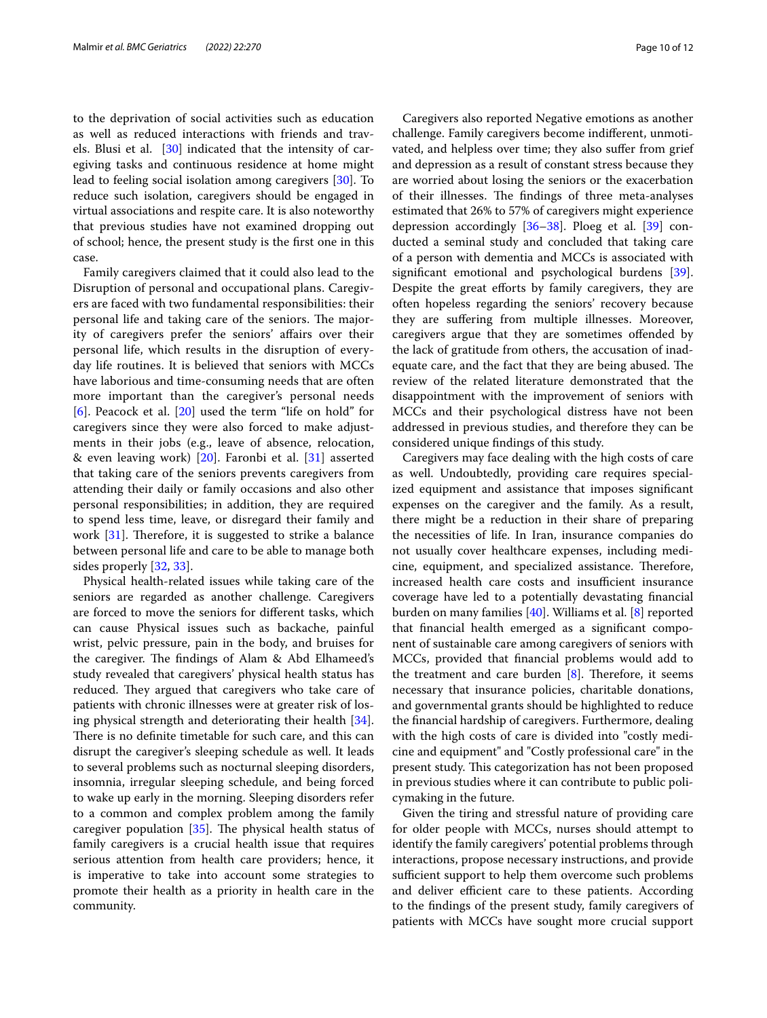to the deprivation of social activities such as education as well as reduced interactions with friends and trav-els. Blusi et al. [[30\]](#page-11-26) indicated that the intensity of caregiving tasks and continuous residence at home might lead to feeling social isolation among caregivers [\[30](#page-11-26)]. To reduce such isolation, caregivers should be engaged in virtual associations and respite care. It is also noteworthy that previous studies have not examined dropping out of school; hence, the present study is the frst one in this case.

Family caregivers claimed that it could also lead to the Disruption of personal and occupational plans. Caregivers are faced with two fundamental responsibilities: their personal life and taking care of the seniors. The majority of caregivers prefer the seniors' afairs over their personal life, which results in the disruption of everyday life routines. It is believed that seniors with MCCs have laborious and time-consuming needs that are often more important than the caregiver's personal needs [[6\]](#page-11-2). Peacock et al. [[20\]](#page-11-16) used the term "life on hold" for caregivers since they were also forced to make adjustments in their jobs (e.g., leave of absence, relocation, & even leaving work) [[20\]](#page-11-16). Faronbi et al. [\[31](#page-11-27)] asserted that taking care of the seniors prevents caregivers from attending their daily or family occasions and also other personal responsibilities; in addition, they are required to spend less time, leave, or disregard their family and work  $[31]$  $[31]$ . Therefore, it is suggested to strike a balance between personal life and care to be able to manage both sides properly [[32,](#page-11-28) [33\]](#page-11-29).

Physical health-related issues while taking care of the seniors are regarded as another challenge. Caregivers are forced to move the seniors for diferent tasks, which can cause Physical issues such as backache, painful wrist, pelvic pressure, pain in the body, and bruises for the caregiver. The findings of Alam & Abd Elhameed's study revealed that caregivers' physical health status has reduced. They argued that caregivers who take care of patients with chronic illnesses were at greater risk of losing physical strength and deteriorating their health [\[34](#page-11-30)]. There is no definite timetable for such care, and this can disrupt the caregiver's sleeping schedule as well. It leads to several problems such as nocturnal sleeping disorders, insomnia, irregular sleeping schedule, and being forced to wake up early in the morning. Sleeping disorders refer to a common and complex problem among the family caregiver population  $[35]$  $[35]$ . The physical health status of family caregivers is a crucial health issue that requires serious attention from health care providers; hence, it is imperative to take into account some strategies to promote their health as a priority in health care in the community.

Caregivers also reported Negative emotions as another challenge. Family caregivers become indiferent, unmotivated, and helpless over time; they also sufer from grief and depression as a result of constant stress because they are worried about losing the seniors or the exacerbation of their illnesses. The findings of three meta-analyses estimated that 26% to 57% of caregivers might experience depression accordingly [[36–](#page-11-32)[38\]](#page-11-33). Ploeg et al. [\[39\]](#page-11-34) conducted a seminal study and concluded that taking care of a person with dementia and MCCs is associated with signifcant emotional and psychological burdens [\[39](#page-11-34)]. Despite the great efforts by family caregivers, they are often hopeless regarding the seniors' recovery because they are sufering from multiple illnesses. Moreover, caregivers argue that they are sometimes ofended by the lack of gratitude from others, the accusation of inadequate care, and the fact that they are being abused. The review of the related literature demonstrated that the disappointment with the improvement of seniors with MCCs and their psychological distress have not been addressed in previous studies, and therefore they can be considered unique fndings of this study.

Caregivers may face dealing with the high costs of care as well. Undoubtedly, providing care requires specialized equipment and assistance that imposes signifcant expenses on the caregiver and the family. As a result, there might be a reduction in their share of preparing the necessities of life. In Iran, insurance companies do not usually cover healthcare expenses, including medicine, equipment, and specialized assistance. Therefore, increased health care costs and insufficient insurance coverage have led to a potentially devastating fnancial burden on many families [\[40](#page-11-35)]. Williams et al. [\[8](#page-11-4)] reported that fnancial health emerged as a signifcant component of sustainable care among caregivers of seniors with MCCs, provided that fnancial problems would add to the treatment and care burden  $[8]$  $[8]$ . Therefore, it seems necessary that insurance policies, charitable donations, and governmental grants should be highlighted to reduce the fnancial hardship of caregivers. Furthermore, dealing with the high costs of care is divided into "costly medicine and equipment" and "Costly professional care" in the present study. This categorization has not been proposed in previous studies where it can contribute to public policymaking in the future.

Given the tiring and stressful nature of providing care for older people with MCCs, nurses should attempt to identify the family caregivers' potential problems through interactions, propose necessary instructions, and provide sufficient support to help them overcome such problems and deliver efficient care to these patients. According to the fndings of the present study, family caregivers of patients with MCCs have sought more crucial support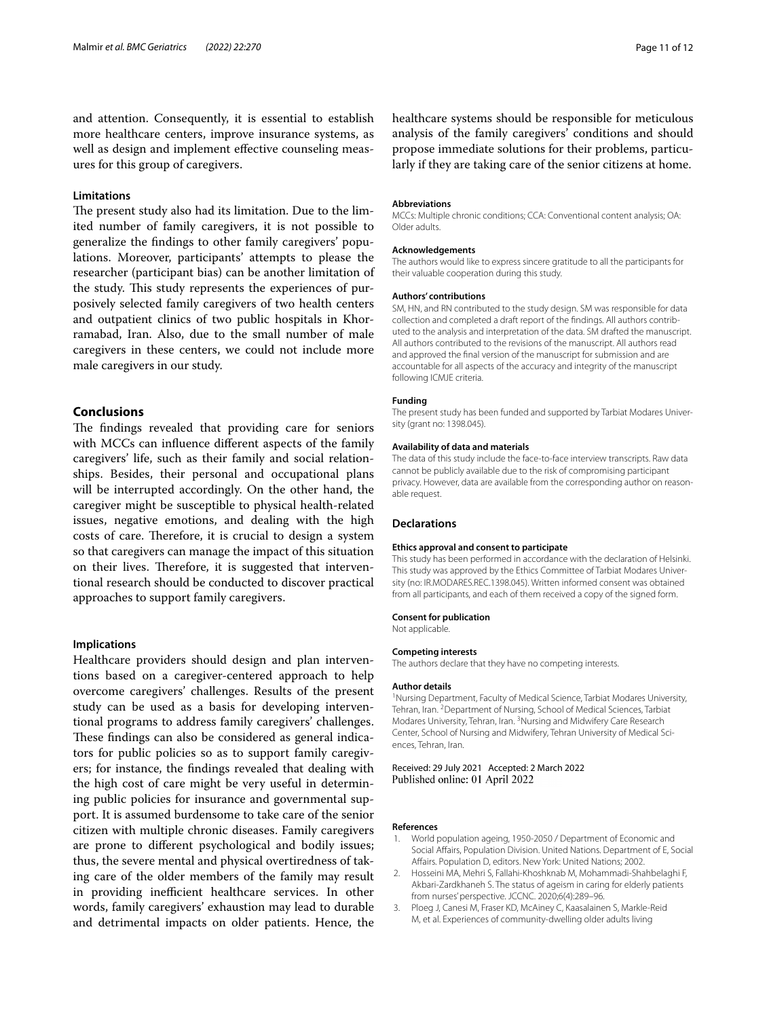and attention. Consequently, it is essential to establish more healthcare centers, improve insurance systems, as well as design and implement effective counseling measures for this group of caregivers.

#### **Limitations**

The present study also had its limitation. Due to the limited number of family caregivers, it is not possible to generalize the fndings to other family caregivers' populations. Moreover, participants' attempts to please the researcher (participant bias) can be another limitation of the study. This study represents the experiences of purposively selected family caregivers of two health centers and outpatient clinics of two public hospitals in Khorramabad, Iran. Also, due to the small number of male caregivers in these centers, we could not include more male caregivers in our study.

#### **Conclusions**

The findings revealed that providing care for seniors with MCCs can infuence diferent aspects of the family caregivers' life, such as their family and social relationships. Besides, their personal and occupational plans will be interrupted accordingly. On the other hand, the caregiver might be susceptible to physical health-related issues, negative emotions, and dealing with the high costs of care. Therefore, it is crucial to design a system so that caregivers can manage the impact of this situation on their lives. Therefore, it is suggested that interventional research should be conducted to discover practical approaches to support family caregivers.

#### **Implications**

Healthcare providers should design and plan interventions based on a caregiver-centered approach to help overcome caregivers' challenges. Results of the present study can be used as a basis for developing interventional programs to address family caregivers' challenges. These findings can also be considered as general indicators for public policies so as to support family caregivers; for instance, the fndings revealed that dealing with the high cost of care might be very useful in determining public policies for insurance and governmental support. It is assumed burdensome to take care of the senior citizen with multiple chronic diseases. Family caregivers are prone to diferent psychological and bodily issues; thus, the severe mental and physical overtiredness of taking care of the older members of the family may result in providing inefficient healthcare services. In other words, family caregivers' exhaustion may lead to durable and detrimental impacts on older patients. Hence, the

#### **Abbreviations**

MCCs: Multiple chronic conditions; CCA: Conventional content analysis; OA: Older adults.

#### **Acknowledgements**

The authors would like to express sincere gratitude to all the participants for their valuable cooperation during this study.

#### **Authors' contributions**

SM, HN, and RN contributed to the study design. SM was responsible for data collection and completed a draft report of the fndings. All authors contributed to the analysis and interpretation of the data. SM drafted the manuscript. All authors contributed to the revisions of the manuscript. All authors read and approved the fnal version of the manuscript for submission and are accountable for all aspects of the accuracy and integrity of the manuscript following ICMJE criteria.

#### **Funding**

The present study has been funded and supported by Tarbiat Modares University (grant no: 1398.045).

#### **Availability of data and materials**

The data of this study include the face-to-face interview transcripts. Raw data cannot be publicly available due to the risk of compromising participant privacy. However, data are available from the corresponding author on reasonable request.

#### **Declarations**

#### **Ethics approval and consent to participate**

This study has been performed in accordance with the declaration of Helsinki. This study was approved by the Ethics Committee of Tarbiat Modares University (no: IR.MODARES.REC.1398.045). Written informed consent was obtained from all participants, and each of them received a copy of the signed form.

#### **Consent for publication**

Not applicable.

#### **Competing interests**

The authors declare that they have no competing interests.

#### **Author details**

<sup>1</sup> Nursing Department, Faculty of Medical Science, Tarbiat Modares University, Tehran, Iran. <sup>2</sup> Department of Nursing, School of Medical Sciences, Tarbiat Modares University, Tehran, Iran. <sup>3</sup> Nursing and Midwifery Care Research Center, School of Nursing and Midwifery, Tehran University of Medical Sciences, Tehran, Iran.

Received: 29 July 2021 Accepted: 2 March 2022 Published online: 01 April 2022

#### **References**

- <span id="page-10-0"></span>1. World population ageing, 1950-2050 / Department of Economic and Social Afairs, Population Division. United Nations. Department of E, Social Afairs. Population D, editors. New York: United Nations; 2002.
- <span id="page-10-1"></span>2. Hosseini MA, Mehri S, Fallahi-Khoshknab M, Mohammadi-Shahbelaghi F, Akbari-Zardkhaneh S. The status of ageism in caring for elderly patients from nurses' perspective. JCCNC. 2020;6(4):289–96.
- <span id="page-10-2"></span>3. Ploeg J, Canesi M, Fraser KD, McAiney C, Kaasalainen S, Markle-Reid M, et al. Experiences of community-dwelling older adults living